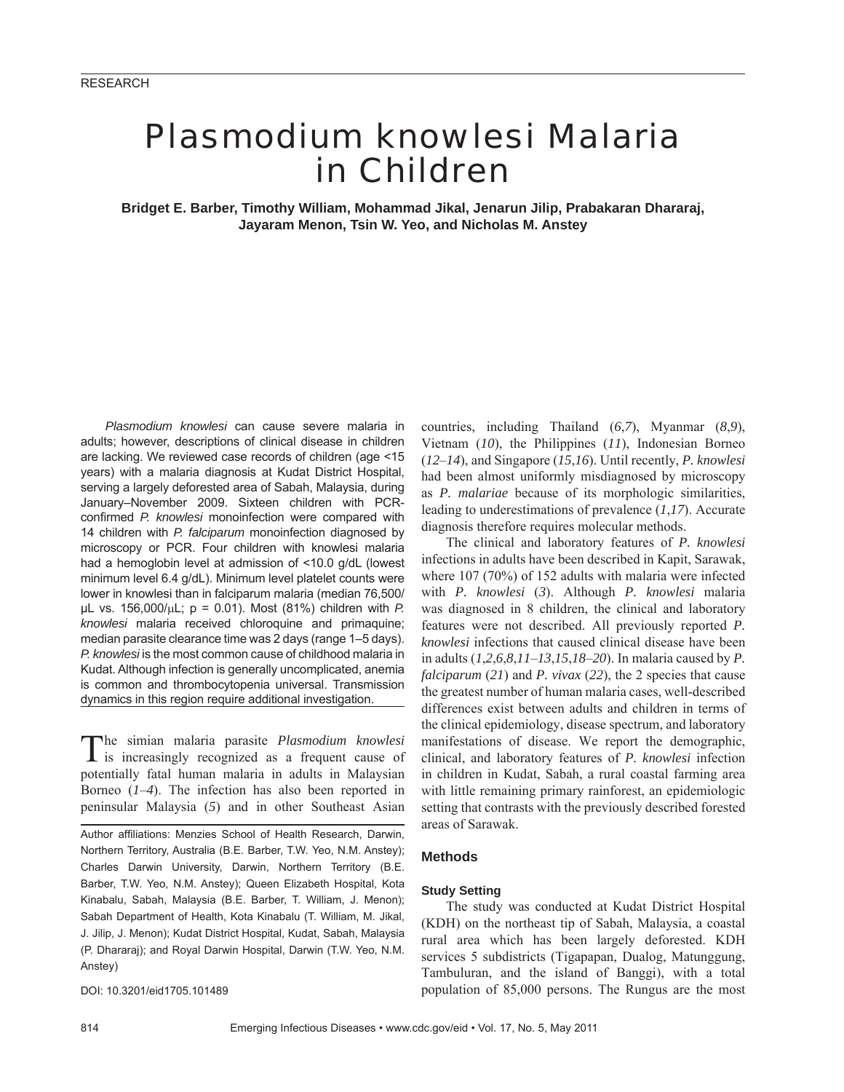# *Plasmodium knowlesi* Malaria in Children

**Bridget E. Barber, Timothy William, Mohammad Jikal, Jenarun Jilip, Prabakaran Dhararaj, Jayaram Menon, Tsin W. Yeo, and Nicholas M. Anstey**

*Plasmodium knowlesi* can cause severe malaria in adults; however, descriptions of clinical disease in children are lacking. We reviewed case records of children (age <15 years) with a malaria diagnosis at Kudat District Hospital, serving a largely deforested area of Sabah, Malaysia, during January–November 2009. Sixteen children with PCRconfirmed *P. knowlesi* monoinfection were compared with 14 children with *P. falciparum* monoinfection diagnosed by microscopy or PCR. Four children with knowlesi malaria had a hemoglobin level at admission of <10.0 g/dL (lowest minimum level 6.4 g/dL). Minimum level platelet counts were lower in knowlesi than in falciparum malaria (median 76,500/ μL vs. 156,000/μL; p = 0.01). Most (81%) children with *P. knowlesi* malaria received chloroquine and primaquine; median parasite clearance time was 2 days (range 1–5 days). *P. knowlesi* is the most common cause of childhood malaria in Kudat. Although infection is generally uncomplicated, anemia is common and thrombocytopenia universal. Transmission dynamics in this region require additional investigation.

The simian malaria parasite *Plasmodium knowlesi* is increasingly recognized as a frequent cause of potentially fatal human malaria in adults in Malaysian Borneo (*1*–*4*). The infection has also been reported in peninsular Malaysia (*5*) and in other Southeast Asian

Author affiliations: Menzies School of Health Research, Darwin, Northern Territory, Australia (B.E. Barber, T.W. Yeo, N.M. Anstey); Charles Darwin University, Darwin, Northern Territory (B.E. Barber, T.W. Yeo, N.M. Anstey); Queen Elizabeth Hospital, Kota Kinabalu, Sabah, Malaysia (B.E. Barber, T. William, J. Menon); Sabah Department of Health, Kota Kinabalu (T. William, M. Jikal, J. Jilip, J. Menon); Kudat District Hospital, Kudat, Sabah, Malaysia (P. Dhararaj); and Royal Darwin Hospital, Darwin (T.W. Yeo, N.M. Anstey)

DOI: 10.3201/eid1705.101489

countries, including Thailand (*6*,*7*), Myanmar (*8*,*9*), Vietnam (*10*), the Philippines (*11*), Indonesian Borneo (*12*–*14*), and Singapore (*15*,*16*). Until recently, *P. knowlesi* had been almost uniformly misdiagnosed by microscopy as *P. malariae* because of its morphologic similarities, leading to underestimations of prevalence (*1*,*17*). Accurate diagnosis therefore requires molecular methods.

The clinical and laboratory features of *P. knowlesi* infections in adults have been described in Kapit, Sarawak, where 107 (70%) of 152 adults with malaria were infected with *P. knowlesi* (*3*). Although *P. knowlesi* malaria was diagnosed in 8 children, the clinical and laboratory features were not described. All previously reported *P. knowlesi* infections that caused clinical disease have been in adults (*1*,*2*,*6*,*8*,*11*–*13*,*15*,*18*–*20*). In malaria caused by *P. falciparum* (*21*) and *P. vivax* (*22*), the 2 species that cause the greatest number of human malaria cases, well-described differences exist between adults and children in terms of the clinical epidemiology, disease spectrum, and laboratory manifestations of disease. We report the demographic, clinical, and laboratory features of *P. knowlesi* infection in children in Kudat, Sabah, a rural coastal farming area with little remaining primary rainforest, an epidemiologic setting that contrasts with the previously described forested areas of Sarawak.

# **Methods**

## **Study Setting**

The study was conducted at Kudat District Hospital (KDH) on the northeast tip of Sabah, Malaysia, a coastal rural area which has been largely deforested. KDH services 5 subdistricts (Tigapapan, Dualog, Matunggung, Tambuluran, and the island of Banggi), with a total population of 85,000 persons. The Rungus are the most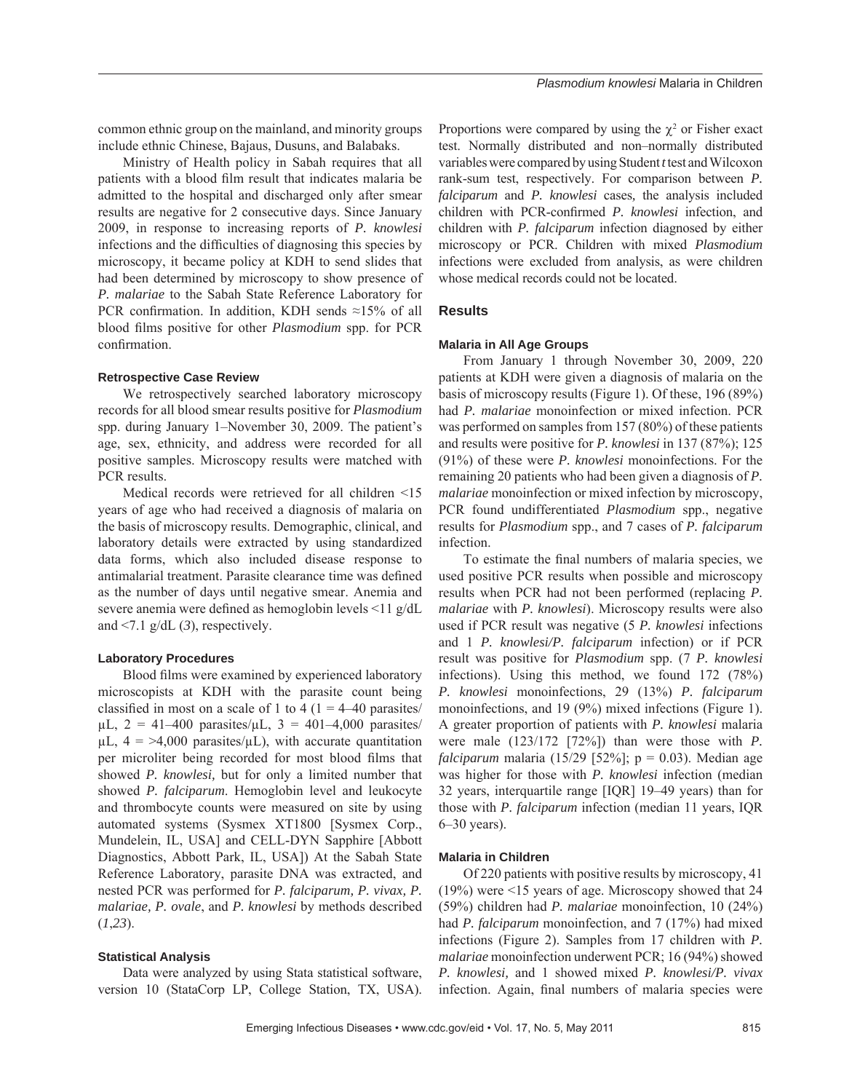common ethnic group on the mainland, and minority groups include ethnic Chinese, Bajaus, Dusuns, and Balabaks.

Ministry of Health policy in Sabah requires that all patients with a blood film result that indicates malaria be admitted to the hospital and discharged only after smear results are negative for 2 consecutive days. Since January 2009, in response to increasing reports of *P. knowlesi* infections and the difficulties of diagnosing this species by microscopy, it became policy at KDH to send slides that had been determined by microscopy to show presence of *P. malariae* to the Sabah State Reference Laboratory for PCR confirmation. In addition, KDH sends  $\approx$ 15% of all blood films positive for other *Plasmodium* spp. for PCR confirmation.

## **Retrospective Case Review**

We retrospectively searched laboratory microscopy records for all blood smear results positive for *Plasmodium* spp. during January 1–November 30, 2009. The patient's age, sex, ethnicity, and address were recorded for all positive samples. Microscopy results were matched with PCR results.

Medical records were retrieved for all children <15 years of age who had received a diagnosis of malaria on the basis of microscopy results. Demographic, clinical, and laboratory details were extracted by using standardized data forms, which also included disease response to antimalarial treatment. Parasite clearance time was defined as the number of days until negative smear. Anemia and severe anemia were defined as hemoglobin levels  $\leq$ 11 g/dL and  $\leq$ 7.1 g/dL (3), respectively.

## **Laboratory Procedures**

Blood films were examined by experienced laboratory microscopists at KDH with the parasite count being classified in most on a scale of 1 to 4 ( $1 = 4-40$  parasites/  $\mu L$ , 2 = 41–400 parasites/ $\mu L$ , 3 = 401–4,000 parasites/  $\mu$ L, 4 = >4,000 parasites/ $\mu$ L), with accurate quantitation per microliter being recorded for most blood films that showed *P. knowlesi,* but for only a limited number that showed *P. falciparum*. Hemoglobin level and leukocyte and thrombocyte counts were measured on site by using automated systems (Sysmex XT1800 [Sysmex Corp., Mundelein, IL, USA] and CELL-DYN Sapphire [Abbott Diagnostics, Abbott Park, IL, USA]) At the Sabah State Reference Laboratory, parasite DNA was extracted, and nested PCR was performed for *P. falciparum, P. vivax, P. malariae, P. ovale*, and *P. knowlesi* by methods described (*1*,*23*).

#### **Statistical Analysis**

Data were analyzed by using Stata statistical software, version 10 (StataCorp LP, College Station, TX, USA).

Proportions were compared by using the  $\chi^2$  or Fisher exact test. Normally distributed and non–normally distributed variables were compared by using Student *t* test and Wilcoxon rank-sum test, respectively. For comparison between *P. falciparum* and *P. knowlesi* cases*,* the analysis included children with PCR-confirmed *P. knowlesi* infection, and children with *P. falciparum* infection diagnosed by either microscopy or PCR. Children with mixed *Plasmodium* infections were excluded from analysis, as were children whose medical records could not be located.

# **Results**

## **Malaria in All Age Groups**

From January 1 through November 30, 2009, 220 patients at KDH were given a diagnosis of malaria on the basis of microscopy results (Figure 1). Of these, 196 (89%) had *P. malariae* monoinfection or mixed infection. PCR was performed on samples from 157 (80%) of these patients and results were positive for *P. knowlesi* in 137 (87%); 125 (91%) of these were *P. knowlesi* monoinfections. For the remaining 20 patients who had been given a diagnosis of *P. malariae* monoinfection or mixed infection by microscopy, PCR found undifferentiated *Plasmodium* spp., negative results for *Plasmodium* spp., and 7 cases of *P. falciparum*  infection.

To estimate the final numbers of malaria species, we used positive PCR results when possible and microscopy results when PCR had not been performed (replacing *P. malariae* with *P. knowlesi*). Microscopy results were also used if PCR result was negative (5 *P. knowlesi* infections and 1 *P. knowlesi/P. falciparum* infection) or if PCR result was positive for *Plasmodium* spp. (7 *P. knowlesi* infections). Using this method, we found 172 (78%) *P. knowlesi* monoinfections, 29 (13%) *P. falciparum* monoinfections, and 19 (9%) mixed infections (Figure 1). A greater proportion of patients with *P. knowlesi* malaria were male (123/172 [72%]) than were those with *P. falciparum* malaria (15/29 [52%]; p = 0.03). Median age was higher for those with *P. knowlesi* infection (median 32 years, interquartile range [IQR] 19–49 years) than for those with *P. falciparum* infection (median 11 years, IQR 6–30 years).

## **Malaria in Children**

Of 220 patients with positive results by microscopy, 41 (19%) were <15 years of age. Microscopy showed that 24 (59%) children had *P. malariae* monoinfection, 10 (24%) had *P. falciparum* monoinfection, and 7 (17%) had mixed infections (Figure 2). Samples from 17 children with *P. malariae* monoinfection underwent PCR; 16 (94%) showed *P. knowlesi,* and 1 showed mixed *P. knowlesi/P. vivax* infection. Again, final numbers of malaria species were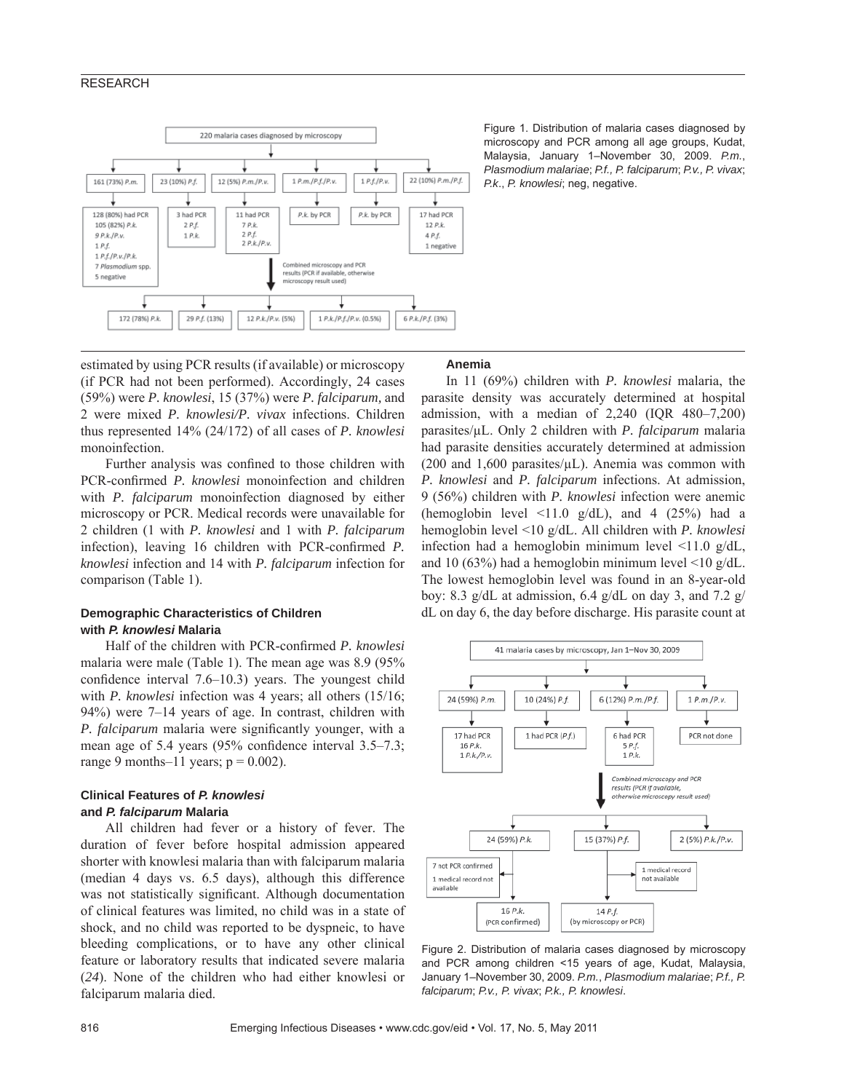# RESEARCH



Figure 1. Distribution of malaria cases diagnosed by microscopy and PCR among all age groups, Kudat, Malaysia, January 1–November 30, 2009. *P.m.*, *Plasmodium malariae*; *P.f., P. falciparum*; *P.v., P. vivax*; *P.k*., *P. knowlesi*; neg, negative.

estimated by using PCR results (if available) or microscopy (if PCR had not been performed). Accordingly, 24 cases (59%) were *P. knowlesi*, 15 (37%) were *P. falciparum,* and 2 were mixed *P. knowlesi/P. vivax* infections. Children thus represented 14% (24/172) of all cases of *P. knowlesi* monoinfection.

Further analysis was confined to those children with PCR-confirmed *P. knowlesi* monoinfection and children with *P. falciparum* monoinfection diagnosed by either microscopy or PCR. Medical records were unavailable for 2 children (1 with *P. knowlesi* and 1 with *P. falciparum* infection), leaving 16 children with PCR-confirmed *P*. *knowlesi* infection and 14 with *P. falciparum* infection for comparison (Table 1).

# **Demographic Characteristics of Children with** *P. knowlesi* **Malaria**

Half of the children with PCR-confirmed *P. knowlesi* malaria were male (Table 1). The mean age was 8.9 (95% confidence interval  $7.6-10.3$ ) years. The youngest child with *P. knowlesi* infection was 4 years; all others (15/16; 94%) were 7–14 years of age. In contrast, children with *P. falciparum* malaria were significantly younger, with a mean age of 5.4 years  $(95\%$  confidence interval  $3.5-7.3$ ; range 9 months–11 years;  $p = 0.002$ ).

# **Clinical Features of** *P. knowlesi* **and** *P. falciparum* **Malaria**

All children had fever or a history of fever. The duration of fever before hospital admission appeared shorter with knowlesi malaria than with falciparum malaria (median 4 days vs. 6.5 days), although this difference was not statistically significant. Although documentation of clinical features was limited, no child was in a state of shock, and no child was reported to be dyspneic, to have bleeding complications, or to have any other clinical feature or laboratory results that indicated severe malaria (*24*). None of the children who had either knowlesi or falciparum malaria died.

# **Anemia**

In 11 (69%) children with *P. knowlesi* malaria, the parasite density was accurately determined at hospital admission, with a median of 2,240 (IQR 480–7,200) parasites/μL. Only 2 children with *P. falciparum* malaria had parasite densities accurately determined at admission (200 and 1,600 parasites/ $\mu$ L). Anemia was common with *P. knowlesi* and *P. falciparum* infections. At admission, 9 (56%) children with *P. knowlesi* infection were anemic (hemoglobin level  $\leq$ 11.0 g/dL), and 4 (25%) had a hemoglobin level <10 g/dL. All children with *P. knowlesi*  infection had a hemoglobin minimum level <11.0 g/dL, and 10 (63%) had a hemoglobin minimum level  $\leq$ 10 g/dL. The lowest hemoglobin level was found in an 8-year-old boy: 8.3 g/dL at admission, 6.4 g/dL on day 3, and 7.2 g/ dL on day 6, the day before discharge. His parasite count at



Figure 2. Distribution of malaria cases diagnosed by microscopy and PCR among children <15 years of age, Kudat, Malaysia, January 1–November 30, 2009. *P.m.*, *Plasmodium malariae*; *P.f., P. falciparum*; *P.v., P. vivax*; *P.k., P. knowlesi*.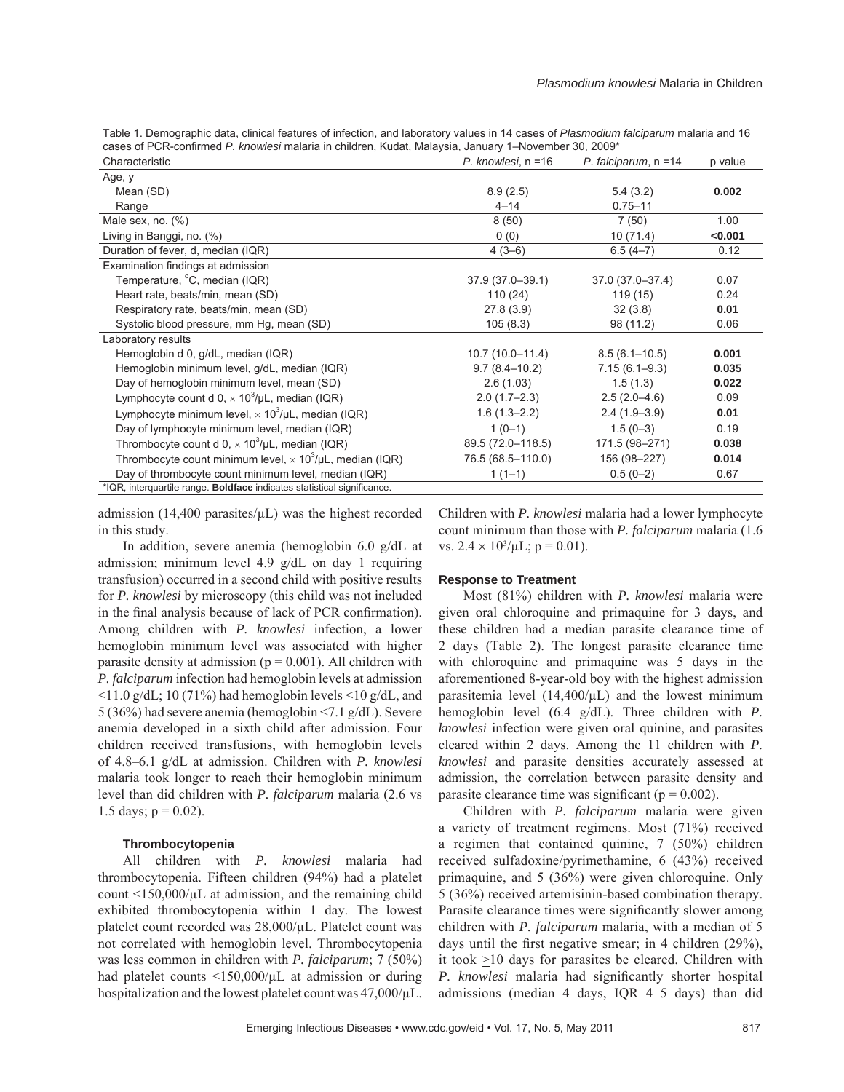Table 1. Demographic data, clinical features of infection, and laboratory values in 14 cases of *Plasmodium falciparum* malaria and 16 cases of PCR-confirmed *P. knowlesi* malaria in children, Kudat, Malaysia, January 1–November 30, 2009\*

| Characteristic                                                          | P. knowlesi, n =16 | P. falciparum, $n = 14$ | p value |  |  |
|-------------------------------------------------------------------------|--------------------|-------------------------|---------|--|--|
| Age, y                                                                  |                    |                         |         |  |  |
| Mean (SD)                                                               | 8.9(2.5)           | 5.4(3.2)                | 0.002   |  |  |
| Range                                                                   | $4 - 14$           | $0.75 - 11$             |         |  |  |
| Male sex, no. $(\%)$                                                    | 8(50)              | 7(50)                   | 1.00    |  |  |
| Living in Banggi, no. (%)                                               | 0(0)               | 10(71.4)                | < 0.001 |  |  |
| Duration of fever, d, median (IQR)                                      | $4(3-6)$           | $6.5(4-7)$              | 0.12    |  |  |
| Examination findings at admission                                       |                    |                         |         |  |  |
| Temperature, °C, median (IQR)                                           | 37.9 (37.0-39.1)   | 37.0 (37.0-37.4)        | 0.07    |  |  |
| Heart rate, beats/min, mean (SD)                                        | 110(24)            | 119 (15)                | 0.24    |  |  |
| Respiratory rate, beats/min, mean (SD)                                  | 27.8(3.9)          | 32(3.8)                 | 0.01    |  |  |
| Systolic blood pressure, mm Hg, mean (SD)                               | 105(8.3)           | 98 (11.2)               | 0.06    |  |  |
| Laboratory results                                                      |                    |                         |         |  |  |
| Hemoglobin d 0, g/dL, median (IQR)                                      | $10.7(10.0-11.4)$  | $8.5(6.1 - 10.5)$       | 0.001   |  |  |
| Hemoglobin minimum level, g/dL, median (IQR)                            | $9.7(8.4 - 10.2)$  | $7.15(6.1 - 9.3)$       | 0.035   |  |  |
| Day of hemoglobin minimum level, mean (SD)                              | 2.6(1.03)          | 1.5(1.3)                | 0.022   |  |  |
| Lymphocyte count d 0, $\times$ 10 <sup>3</sup> /µL, median (IQR)        | $2.0(1.7-2.3)$     | $2.5(2.0-4.6)$          | 0.09    |  |  |
| Lymphocyte minimum level, $\times$ 10 <sup>3</sup> /µL, median (IQR)    | $1.6(1.3 - 2.2)$   | $2.4(1.9-3.9)$          | 0.01    |  |  |
| Day of lymphocyte minimum level, median (IQR)                           | $1(0-1)$           | $1.5(0-3)$              | 0.19    |  |  |
| Thrombocyte count d 0, $\times$ 10 <sup>3</sup> /µL, median (IQR)       | 89.5 (72.0-118.5)  | 171.5 (98-271)          | 0.038   |  |  |
| Thrombocyte count minimum level, $\times 10^3/\mu L$ , median (IQR)     | 76.5 (68.5-110.0)  | 156 (98-227)            | 0.014   |  |  |
| Day of thrombocyte count minimum level, median (IQR)                    | $1(1-1)$           | $0.5(0-2)$              | 0.67    |  |  |
| *IQR, interquartile range. Boldface indicates statistical significance. |                    |                         |         |  |  |

admission (14,400 parasites/ $\mu$ L) was the highest recorded in this study.

In addition, severe anemia (hemoglobin 6.0 g/dL at admission; minimum level 4.9 g/dL on day 1 requiring transfusion) occurred in a second child with positive results for *P. knowlesi* by microscopy (this child was not included in the final analysis because of lack of PCR confirmation). Among children with *P. knowlesi* infection, a lower hemoglobin minimum level was associated with higher parasite density at admission ( $p = 0.001$ ). All children with *P. falciparum* infection had hemoglobin levels at admission  $\langle 11.0 \text{ g/dL}; 10 (71\%)$  had hemoglobin levels  $\langle 10 \text{ g/dL} \rangle$ , and 5 (36%) had severe anemia (hemoglobin <7.1 g/dL). Severe anemia developed in a sixth child after admission. Four children received transfusions, with hemoglobin levels of 4.8–6.1 g/dL at admission. Children with *P. knowlesi* malaria took longer to reach their hemoglobin minimum level than did children with *P. falciparum* malaria (2.6 vs 1.5 days;  $p = 0.02$ ).

## **Thrombocytopenia**

All children with *P. knowlesi* malaria had thrombocytopenia. Fifteen children (94%) had a platelet count  $\langle 150,000/\mu L$  at admission, and the remaining child exhibited thrombocytopenia within 1 day. The lowest platelet count recorded was 28,000/μL. Platelet count was not correlated with hemoglobin level. Thrombocytopenia was less common in children with *P. falciparum*; 7 (50%) had platelet counts <150,000/μL at admission or during hospitalization and the lowest platelet count was 47,000/μL.

Children with *P. knowlesi* malaria had a lower lymphocyte count minimum than those with *P. falciparum* malaria (1.6 vs.  $2.4 \times 10^3/\mu L$ ; p = 0.01).

## **Response to Treatment**

Most (81%) children with *P. knowlesi* malaria were given oral chloroquine and primaquine for 3 days, and these children had a median parasite clearance time of 2 days (Table 2). The longest parasite clearance time with chloroquine and primaquine was 5 days in the aforementioned 8-year-old boy with the highest admission parasitemia level  $(14,400/\mu L)$  and the lowest minimum hemoglobin level (6.4 g/dL). Three children with *P. knowlesi* infection were given oral quinine, and parasites cleared within 2 days. Among the 11 children with *P. knowlesi* and parasite densities accurately assessed at admission, the correlation between parasite density and parasite clearance time was significant ( $p = 0.002$ ).

Children with *P. falciparum* malaria were given a variety of treatment regimens. Most (71%) received a regimen that contained quinine, 7 (50%) children received sulfadoxine/pyrimethamine, 6 (43%) received primaquine, and 5 (36%) were given chloroquine. Only 5 (36%) received artemisinin-based combination therapy. Parasite clearance times were significantly slower among children with *P. falciparum* malaria, with a median of 5 days until the first negative smear; in 4 children  $(29\%)$ , it took  $\geq 10$  days for parasites be cleared. Children with *P. knowlesi* malaria had significantly shorter hospital admissions (median 4 days, IQR 4–5 days) than did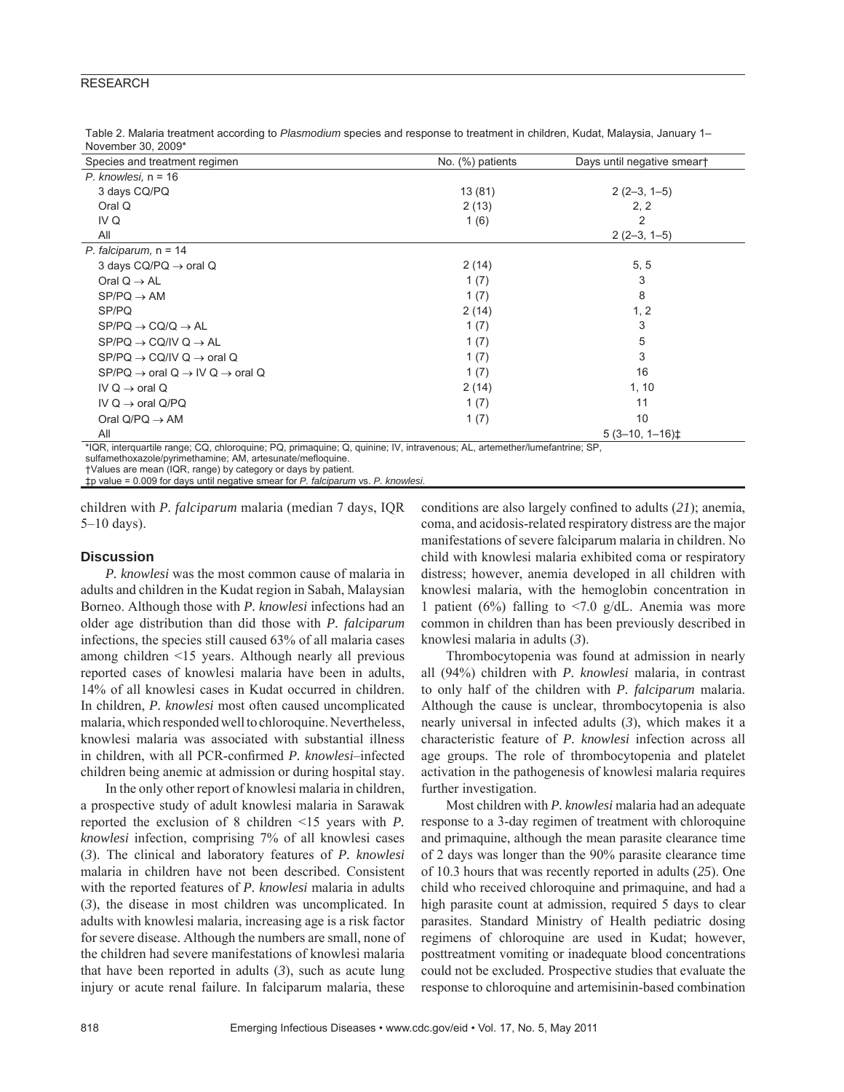# RESEARCH

Table 2. Malaria treatment according to *Plasmodium* species and response to treatment in children, Kudat, Malaysia, January 1– November 30, 2009\*

| Species and treatment regimen                                                          | No. (%) patients | Days until negative smeart |
|----------------------------------------------------------------------------------------|------------------|----------------------------|
| $P.$ knowlesi, $n = 16$                                                                |                  |                            |
| 3 days CQ/PQ                                                                           | 13(81)           | $2(2-3, 1-5)$              |
| Oral Q                                                                                 | 2(13)            | 2, 2                       |
| IV Q                                                                                   | 1(6)             | 2                          |
| All                                                                                    |                  | $2(2-3, 1-5)$              |
| P. falciparum, $n = 14$                                                                |                  |                            |
| 3 days $CQ/PQ \rightarrow \text{oral }Q$                                               | 2(14)            | 5, 5                       |
| Oral $Q \rightarrow AL$                                                                | 1(7)             | 3                          |
| $SP/PQ \rightarrow AM$                                                                 | 1(7)             | 8                          |
| SP/PQ                                                                                  | 2(14)            | 1, 2                       |
| $SP/PO \rightarrow CO/Q \rightarrow AL$                                                | 1(7)             | 3                          |
| $SP/PQ \rightarrow CQ/IVQ \rightarrow AL$                                              | 1(7)             | 5                          |
| $SP/PQ \rightarrow CQ/IVQ \rightarrow \text{oral }Q$                                   | 1(7)             | 3                          |
| $SP/PO \rightarrow \text{oral } Q \rightarrow \text{IV } Q \rightarrow \text{oral } Q$ | 1(7)             | 16                         |
| IV Q $\rightarrow$ oral Q                                                              | 2(14)            | 1, 10                      |
| IV Q $\rightarrow$ oral Q/PQ                                                           | 1(7)             | 11                         |
| Oral $Q/PQ \rightarrow AM$                                                             | 1(7)             | 10                         |
| All                                                                                    |                  | $5(3-10, 1-16)$            |

\*IQR, interquartile range; CQ, chloroquine; PQ, primaquine; Q, quinine; IV, intravenous; AL, artemether/lumefantrine; SP, sulfamethoxazole/pyrimethamine; AM, artesunate/mefloquine.

†Values are mean (IQR, range) by category or days by patient.

‡p value = 0.009 for days until negative smear for *P. falciparum* vs. *P. knowlesi*.

children with *P. falciparum* malaria (median 7 days, IQR 5–10 days).

## **Discussion**

*P. knowlesi* was the most common cause of malaria in adults and children in the Kudat region in Sabah, Malaysian Borneo. Although those with *P. knowlesi* infections had an older age distribution than did those with *P. falciparum*  infections, the species still caused 63% of all malaria cases among children <15 years. Although nearly all previous reported cases of knowlesi malaria have been in adults, 14% of all knowlesi cases in Kudat occurred in children. In children, *P. knowlesi* most often caused uncomplicated malaria, which responded well to chloroquine. Nevertheless, knowlesi malaria was associated with substantial illness in children, with all PCR-confirmed *P. knowlesi*–infected children being anemic at admission or during hospital stay.

In the only other report of knowlesi malaria in children, a prospective study of adult knowlesi malaria in Sarawak reported the exclusion of 8 children <15 years with *P. knowlesi* infection, comprising 7% of all knowlesi cases (*3*). The clinical and laboratory features of *P. knowlesi* malaria in children have not been described. Consistent with the reported features of *P. knowlesi* malaria in adults (*3*), the disease in most children was uncomplicated. In adults with knowlesi malaria, increasing age is a risk factor for severe disease. Although the numbers are small, none of the children had severe manifestations of knowlesi malaria that have been reported in adults (*3*), such as acute lung injury or acute renal failure. In falciparum malaria, these conditions are also largely confined to adults (21); anemia, coma, and acidosis-related respiratory distress are the major manifestations of severe falciparum malaria in children. No child with knowlesi malaria exhibited coma or respiratory distress; however, anemia developed in all children with knowlesi malaria, with the hemoglobin concentration in 1 patient (6%) falling to  $\langle 7.0 \rangle$  g/dL. Anemia was more common in children than has been previously described in knowlesi malaria in adults (*3*).

Thrombocytopenia was found at admission in nearly all (94%) children with *P. knowlesi* malaria, in contrast to only half of the children with *P. falciparum* malaria. Although the cause is unclear, thrombocytopenia is also nearly universal in infected adults (*3*), which makes it a characteristic feature of *P. knowlesi* infection across all age groups. The role of thrombocytopenia and platelet activation in the pathogenesis of knowlesi malaria requires further investigation.

Most children with *P. knowlesi* malaria had an adequate response to a 3-day regimen of treatment with chloroquine and primaquine, although the mean parasite clearance time of 2 days was longer than the 90% parasite clearance time of 10.3 hours that was recently reported in adults (*25*). One child who received chloroquine and primaquine, and had a high parasite count at admission, required 5 days to clear parasites. Standard Ministry of Health pediatric dosing regimens of chloroquine are used in Kudat; however, posttreatment vomiting or inadequate blood concentrations could not be excluded. Prospective studies that evaluate the response to chloroquine and artemisinin-based combination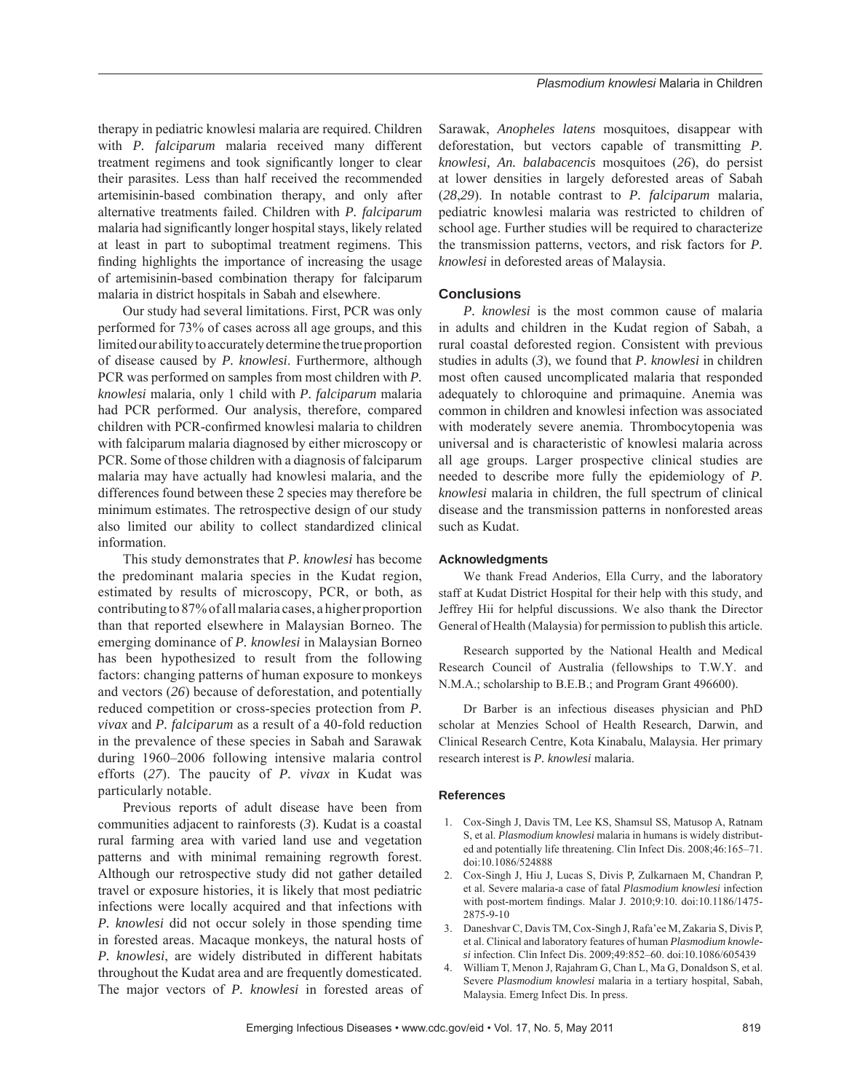therapy in pediatric knowlesi malaria are required. Children with *P. falciparum* malaria received many different treatment regimens and took significantly longer to clear their parasites. Less than half received the recommended artemisinin-based combination therapy, and only after alternative treatments failed. Children with *P. falciparum* malaria had significantly longer hospital stays, likely related at least in part to suboptimal treatment regimens. This finding highlights the importance of increasing the usage of artemisinin-based combination therapy for falciparum malaria in district hospitals in Sabah and elsewhere.

Our study had several limitations. First, PCR was only performed for 73% of cases across all age groups, and this limited our ability to accurately determine the true proportion of disease caused by *P. knowlesi*. Furthermore, although PCR was performed on samples from most children with *P. knowlesi* malaria, only 1 child with *P. falciparum* malaria had PCR performed. Our analysis, therefore, compared children with PCR-confirmed knowlesi malaria to children with falciparum malaria diagnosed by either microscopy or PCR. Some of those children with a diagnosis of falciparum malaria may have actually had knowlesi malaria, and the differences found between these 2 species may therefore be minimum estimates. The retrospective design of our study also limited our ability to collect standardized clinical information.

This study demonstrates that *P. knowlesi* has become the predominant malaria species in the Kudat region, estimated by results of microscopy, PCR, or both, as contributing to 87% of all malaria cases, a higher proportion than that reported elsewhere in Malaysian Borneo. The emerging dominance of *P. knowlesi* in Malaysian Borneo has been hypothesized to result from the following factors: changing patterns of human exposure to monkeys and vectors (*26*) because of deforestation, and potentially reduced competition or cross-species protection from *P. vivax* and *P. falciparum* as a result of a 40-fold reduction in the prevalence of these species in Sabah and Sarawak during 1960–2006 following intensive malaria control efforts (*27*). The paucity of *P. vivax* in Kudat was particularly notable.

Previous reports of adult disease have been from communities adjacent to rainforests (*3*). Kudat is a coastal rural farming area with varied land use and vegetation patterns and with minimal remaining regrowth forest. Although our retrospective study did not gather detailed travel or exposure histories, it is likely that most pediatric infections were locally acquired and that infections with *P. knowlesi* did not occur solely in those spending time in forested areas. Macaque monkeys, the natural hosts of *P. knowlesi*, are widely distributed in different habitats throughout the Kudat area and are frequently domesticated. The major vectors of *P. knowlesi* in forested areas of Sarawak, *Anopheles latens* mosquitoes, disappear with deforestation, but vectors capable of transmitting *P. knowlesi, An. balabacencis* mosquitoes (*26*), do persist at lower densities in largely deforested areas of Sabah (*28*,*29*). In notable contrast to *P. falciparum* malaria, pediatric knowlesi malaria was restricted to children of school age. Further studies will be required to characterize the transmission patterns, vectors, and risk factors for *P. knowlesi* in deforested areas of Malaysia.

# **Conclusions**

*P. knowlesi* is the most common cause of malaria in adults and children in the Kudat region of Sabah, a rural coastal deforested region. Consistent with previous studies in adults (*3*), we found that *P. knowlesi* in children most often caused uncomplicated malaria that responded adequately to chloroquine and primaquine. Anemia was common in children and knowlesi infection was associated with moderately severe anemia. Thrombocytopenia was universal and is characteristic of knowlesi malaria across all age groups. Larger prospective clinical studies are needed to describe more fully the epidemiology of *P. knowlesi* malaria in children, the full spectrum of clinical disease and the transmission patterns in nonforested areas such as Kudat.

# **Acknowledgments**

We thank Fread Anderios, Ella Curry, and the laboratory staff at Kudat District Hospital for their help with this study, and Jeffrey Hii for helpful discussions. We also thank the Director General of Health (Malaysia) for permission to publish this article.

Research supported by the National Health and Medical Research Council of Australia (fellowships to T.W.Y. and N.M.A.; scholarship to B.E.B.; and Program Grant 496600).

Dr Barber is an infectious diseases physician and PhD scholar at Menzies School of Health Research, Darwin, and Clinical Research Centre, Kota Kinabalu, Malaysia. Her primary research interest is *P. knowlesi* malaria.

## **References**

- 1. Cox-Singh J, Davis TM, Lee KS, Shamsul SS, Matusop A, Ratnam S, et al. *Plasmodium knowlesi* malaria in humans is widely distributed and potentially life threatening. Clin Infect Dis. 2008;46:165–71. doi:10.1086/524888
- 2. Cox-Singh J, Hiu J, Lucas S, Divis P, Zulkarnaen M, Chandran P, et al. Severe malaria-a case of fatal *Plasmodium knowlesi* infection with post-mortem findings. Malar J. 2010;9:10. doi:10.1186/1475-2875-9-10
- 3. Daneshvar C, Davis TM, Cox-Singh J, Rafa'ee M, Zakaria S, Divis P, et al. Clinical and laboratory features of human *Plasmodium knowlesi* infection. Clin Infect Dis. 2009;49:852–60. doi:10.1086/605439
- 4. William T, Menon J, Rajahram G, Chan L, Ma G, Donaldson S, et al. Severe *Plasmodium knowlesi* malaria in a tertiary hospital, Sabah, Malaysia. Emerg Infect Dis. In press.